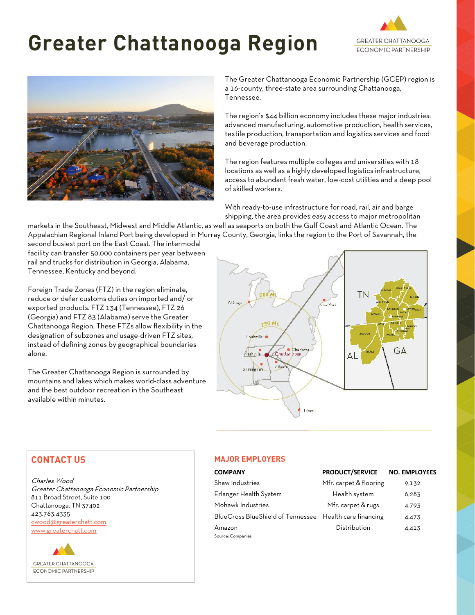# **Greater Chattanooga Region**





The Greater Chattanooga Economic Partnership (GCEP) region is a 16-county, three-state area surrounding Chattanooga, Tennessee.

The region's \$44 billion economy includes these major industries: advanced manufacturing, automotive production, health services, textile production, transportation and logistics services and food and beverage production.

The region features multiple colleges and universities with 18 locations as well as a highly developed logistics infrastructure, access to abundant fresh water, low-cost utilities and a deep pool of skilled workers.

With ready-to-use infrastructure for road, rail, air and barge shipping, the area provides easy access to major metropolitan

markets in the Southeast, Midwest and Middle Atlantic, as well as seaports on both the Gulf Coast and Atlantic Ocean. The Appalachian Regional Inland Port being developed in Murray County, Georgia, links the region to the Port of Savannah, the

second busiest port on the East Coast. The intermodal facility can transfer 50,000 containers per year between rail and trucks for distribution in Georgia, Alabama, Tennessee, Kentucky and beyond.

Foreign Trade Zones (FTZ) in the region eliminate, reduce or defer customs duties on imported and/ or exported products. FTZ 134 (Tennessee), FTZ 26 (Georgia) and FTZ 83 (Alabama) serve the Greater Chattanooga Region. These FTZs allow flexibility in the designation of subzones and usage-driven FTZ sites, instead of defining zones by geographical boundaries alone.

The Greater Chattanooga Region is surrounded by mountains and lakes which makes world-class adventure and the best outdoor recreation in the Southeast available within minutes.



# **CONTACT US**

Charles Wood Greater Chattanooga Economic Partnership 811 Broad Street, Suite 100 Chattanooga, TN 37402 423.763.4335 [cwood@greaterchatt.com](mailto:cwood@greaterchatt.com) [www.greaterchatt.com](http://www.greaterchatt.com/)



## **MAJOR EMPLOYERS**

| <b>COMPANY</b>                                          | <b>PRODUCT/SERVICE</b> | <b>NO. EMPLOYEES</b> |
|---------------------------------------------------------|------------------------|----------------------|
| Shaw Industries                                         | Mfr. carpet & flooring | 9.132                |
| Erlanger Health System                                  | Health system          | 6,283                |
| Mohawk Industries                                       | Mfr. carpet & rugs     | 4,793                |
| BlueCross BlueShield of Tennessee Health care financing |                        | 4,473                |
| Amazon                                                  | Distribution           | 4,413                |
| Source: Companies                                       |                        |                      |